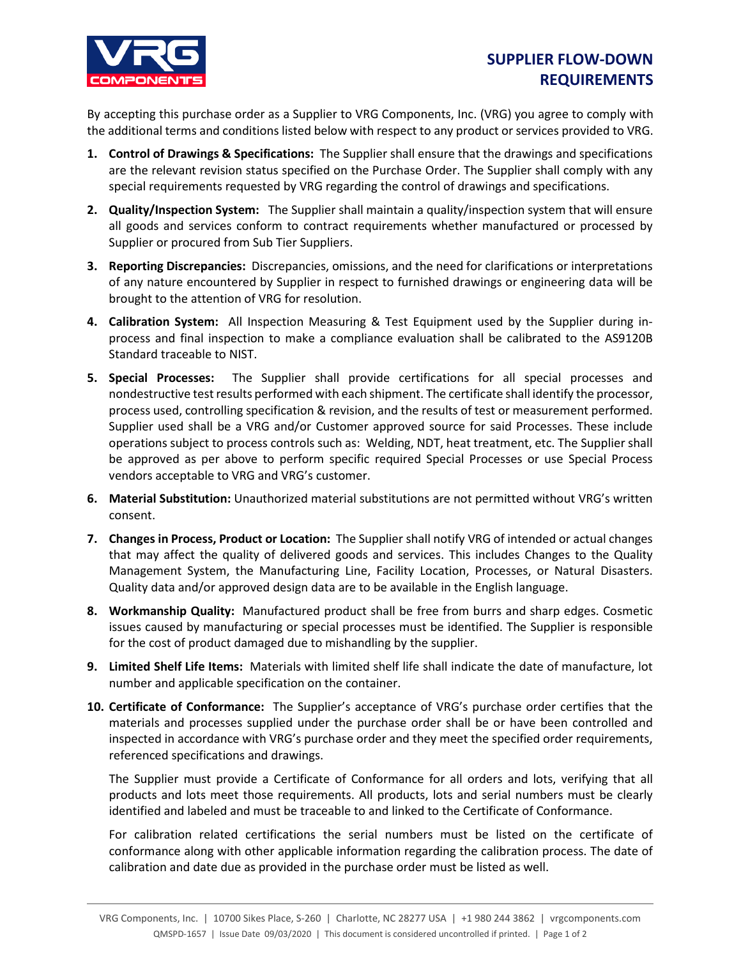

## **SUPPLIER FLOW-DOWN REQUIREMENTS**

By accepting this purchase order as a Supplier to VRG Components, Inc. (VRG) you agree to comply with the additional terms and conditions listed below with respect to any product or services provided to VRG.

- **1. Control of Drawings & Specifications:** The Supplier shall ensure that the drawings and specifications are the relevant revision status specified on the Purchase Order. The Supplier shall comply with any special requirements requested by VRG regarding the control of drawings and specifications.
- **2. Quality/Inspection System:** The Supplier shall maintain a quality/inspection system that will ensure all goods and services conform to contract requirements whether manufactured or processed by Supplier or procured from Sub Tier Suppliers.
- **3. Reporting Discrepancies:** Discrepancies, omissions, and the need for clarifications or interpretations of any nature encountered by Supplier in respect to furnished drawings or engineering data will be brought to the attention of VRG for resolution.
- **4. Calibration System:** All Inspection Measuring & Test Equipment used by the Supplier during inprocess and final inspection to make a compliance evaluation shall be calibrated to the AS9120B Standard traceable to NIST.
- **5. Special Processes:** The Supplier shall provide certifications for all special processes and nondestructive test results performed with each shipment. The certificate shall identify the processor, process used, controlling specification & revision, and the results of test or measurement performed. Supplier used shall be a VRG and/or Customer approved source for said Processes. These include operations subject to process controls such as: Welding, NDT, heat treatment, etc. The Supplier shall be approved as per above to perform specific required Special Processes or use Special Process vendors acceptable to VRG and VRG's customer.
- **6. Material Substitution:** Unauthorized material substitutions are not permitted without VRG's written consent.
- **7. Changes in Process, Product or Location:** The Supplier shall notify VRG of intended or actual changes that may affect the quality of delivered goods and services. This includes Changes to the Quality Management System, the Manufacturing Line, Facility Location, Processes, or Natural Disasters. Quality data and/or approved design data are to be available in the English language.
- **8. Workmanship Quality:** Manufactured product shall be free from burrs and sharp edges. Cosmetic issues caused by manufacturing or special processes must be identified. The Supplier is responsible for the cost of product damaged due to mishandling by the supplier.
- **9. Limited Shelf Life Items:** Materials with limited shelf life shall indicate the date of manufacture, lot number and applicable specification on the container.
- **10. Certificate of Conformance:** The Supplier's acceptance of VRG's purchase order certifies that the materials and processes supplied under the purchase order shall be or have been controlled and inspected in accordance with VRG's purchase order and they meet the specified order requirements, referenced specifications and drawings.

The Supplier must provide a Certificate of Conformance for all orders and lots, verifying that all products and lots meet those requirements. All products, lots and serial numbers must be clearly identified and labeled and must be traceable to and linked to the Certificate of Conformance.

For calibration related certifications the serial numbers must be listed on the certificate of conformance along with other applicable information regarding the calibration process. The date of calibration and date due as provided in the purchase order must be listed as well.